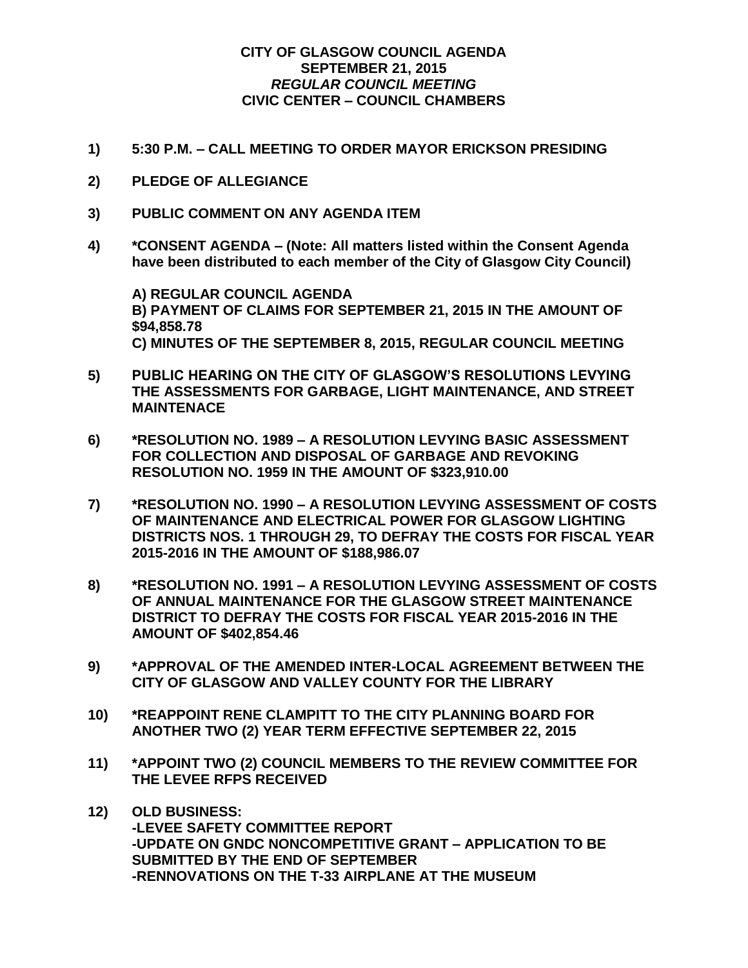## **CITY OF GLASGOW COUNCIL AGENDA SEPTEMBER 21, 2015** *REGULAR COUNCIL MEETING* **CIVIC CENTER – COUNCIL CHAMBERS**

- **1) 5:30 P.M. – CALL MEETING TO ORDER MAYOR ERICKSON PRESIDING**
- **2) PLEDGE OF ALLEGIANCE**
- **3) PUBLIC COMMENT ON ANY AGENDA ITEM**
- **4) \*CONSENT AGENDA – (Note: All matters listed within the Consent Agenda have been distributed to each member of the City of Glasgow City Council)**

**A) REGULAR COUNCIL AGENDA B) PAYMENT OF CLAIMS FOR SEPTEMBER 21, 2015 IN THE AMOUNT OF \$94,858.78 C) MINUTES OF THE SEPTEMBER 8, 2015, REGULAR COUNCIL MEETING**

- **5) PUBLIC HEARING ON THE CITY OF GLASGOW'S RESOLUTIONS LEVYING THE ASSESSMENTS FOR GARBAGE, LIGHT MAINTENANCE, AND STREET MAINTENACE**
- **6) \*RESOLUTION NO. 1989 – A RESOLUTION LEVYING BASIC ASSESSMENT FOR COLLECTION AND DISPOSAL OF GARBAGE AND REVOKING RESOLUTION NO. 1959 IN THE AMOUNT OF \$323,910.00**
- **7) \*RESOLUTION NO. 1990 – A RESOLUTION LEVYING ASSESSMENT OF COSTS OF MAINTENANCE AND ELECTRICAL POWER FOR GLASGOW LIGHTING DISTRICTS NOS. 1 THROUGH 29, TO DEFRAY THE COSTS FOR FISCAL YEAR 2015-2016 IN THE AMOUNT OF \$188,986.07**
- **8) \*RESOLUTION NO. 1991 – A RESOLUTION LEVYING ASSESSMENT OF COSTS OF ANNUAL MAINTENANCE FOR THE GLASGOW STREET MAINTENANCE DISTRICT TO DEFRAY THE COSTS FOR FISCAL YEAR 2015-2016 IN THE AMOUNT OF \$402,854.46**
- **9) \*APPROVAL OF THE AMENDED INTER-LOCAL AGREEMENT BETWEEN THE CITY OF GLASGOW AND VALLEY COUNTY FOR THE LIBRARY**
- **10) \*REAPPOINT RENE CLAMPITT TO THE CITY PLANNING BOARD FOR ANOTHER TWO (2) YEAR TERM EFFECTIVE SEPTEMBER 22, 2015**
- **11) \*APPOINT TWO (2) COUNCIL MEMBERS TO THE REVIEW COMMITTEE FOR THE LEVEE RFPS RECEIVED**
- **12) OLD BUSINESS: -LEVEE SAFETY COMMITTEE REPORT -UPDATE ON GNDC NONCOMPETITIVE GRANT – APPLICATION TO BE SUBMITTED BY THE END OF SEPTEMBER -RENNOVATIONS ON THE T-33 AIRPLANE AT THE MUSEUM**